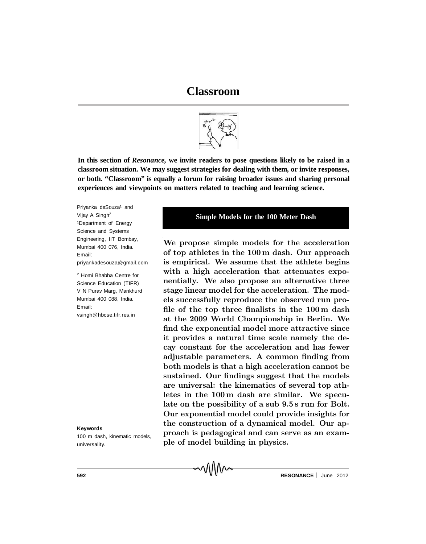# **Classroom**



**In this section of** *Resonance,* **we invite readers to pose questions likely to be raised in a classroom situation. We may suggest strategies for dealing with them, or invite responses, or both. "Classroom" is equally a forum for raising broader issues and sharing personal experiences and viewpoints on matters related to teaching and learning science.**

√\\\\\/\

Priyanka deSouza<sup>1</sup> and Vijay A Singh<sup>2</sup> <sup>1</sup>Department of Energy Science and Systems Engineering, IIT Bombay, Mumbai 400 076, India. Email: priyankadesouza@gmail.com

<sup>2</sup> Homi Bhabha Centre for Science Education (TIFR) V N Purav Marg, Mankhurd Mumbai 400 088, India. Email: vsingh@hbcse.tifr.res.in

**Keywords**

100 m dash, kinematic models, universality.

#### **Simple Models for the 100 Meter Dash**

We propose simple models for the acceleration of top athletes in the 100 m dash. Our approach is empirical. We assume that the athlete begins with a high acceleration that attenuates exponentially. We also propose an alternative three stage linear model for the acceleration. The models successfully reproduce the observed run pro file of the top three finalists in the  $100 \text{ m}$  dash at the 2009 World Championship in Berlin. We find the exponential model more attractive since it provides a natural time scale namely the decay constant for the acceleration and has fewer adjustable parameters. A common finding from both models is that a high acceleration cannot be sustained. Our findings suggest that the models are universal: the kinematics of several top athletes in the 100 m dash are similar. We speculate on the possibility of a sub 9.5 s run for Bolt. Our exponential model could provide insights for the construction of a dynamical model. Our approach is pedagogical and can serve as an example of model building in physics.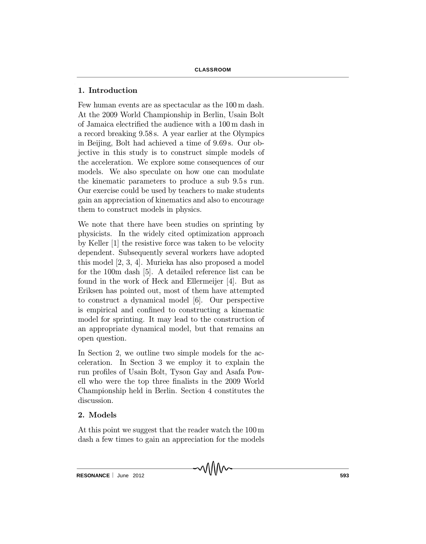# 1. Introduction

Few human events are as spectacular as the 100 m dash. At the 2009 World Championship in Berlin, Usain Bolt of Jamaica electrified the audience with a 100 m dash in a record breaking 9.58 s. A year earlier at the Olympics in Beijing, Bolt had achieved a time of 9:69 s. Our objective in this study is to construct simple models of the acceleration. We explore some consequences of our models. We also speculate on how one can modulate the kinematic parameters to produce a sub 9.5 s run. Our exercise could be used by teachers to make students gain an appreciation of kinematics and also to encourage them to construct models in physics.

We note that there have been studies on sprinting by physicists. In the widely cited optimization approach by Keller [1] the resistive force was taken to be velocity dependent. Subsequently several workers have adopted this model [2, 3, 4]. Murieka has also proposed a model for the 100m dash [5]. A detailed reference list can be found in the work of Heck and Ellermeijer [4]. But as Eriksen has pointed out, most of them have attempted to construct a dynamical model [6]. Our perspective is empirical and confined to constructing a kinematic model for sprinting. It may lead to the construction of an appropriate dynamical model, but that remains an open question.

In Section 2, we outline two simple models for the acceleration. In Section 3 we employ it to explain the run profiles of Usain Bolt, Tyson Gay and Asafa Powell who were the top three finalists in the 2009 World Championship held in Berlin. Section 4 constitutes the discussion.

# 2. Models

At this point we suggest that the reader watch the 100 m dash a few times to gain an appreciation for the models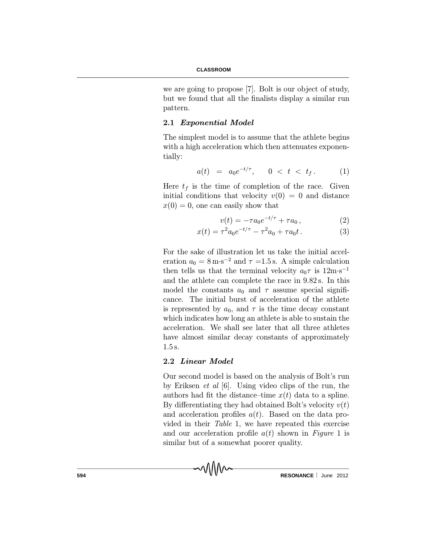we are going to propose [7]. Bolt is our object of study, but we found that all the finalists display a similar run pattern.

### 2.1 Exponential Model

The simplest model is to assume that the athlete begins with a high acceleration which then attenuates exponentially:

$$
a(t) = a_0 e^{-t/\tau}, \qquad 0 < t < t_f. \tag{1}
$$

Here  $t_f$  is the time of completion of the race. Given initial conditions that velocity  $v(0) = 0$  and distance  $x(0) = 0$ , one can easily show that

$$
v(t) = -\tau a_0 e^{-t/\tau} + \tau a_0 , \qquad (2)
$$

$$
x(t) = \tau^2 a_0 e^{-t/\tau} - \tau^2 a_0 + \tau a_0 t. \tag{3}
$$

For the sake of illustration let us take the initial acceleration  $a_0 = 8 \,\mathrm{m} \cdot \mathrm{s}^{-2}$  and  $\tau = 1.5 \,\mathrm{s}$ . A simple calculation then tells us that the terminal velocity  $a_0\tau$  is  $12\text{m}\cdot\text{s}^{-1}$ and the athlete can complete the race in 9:82 s. In this model the constants  $a_0$  and  $\tau$  assume special significance. The initial burst of acceleration of the athlete is represented by  $a_0$ , and  $\tau$  is the time decay constant which indicates how long an athlete is able to sustain the acceleration. We shall see later that all three athletes have almost similar decay constants of approximately 1:5 s.

# 2.2 Linear Model

MMM

Our second model is based on the analysis of Bolt's run by Eriksen et al [6]. Using video clips of the run, the authors had fit the distance-time  $x(t)$  data to a spline. By differentiating they had obtained Bolt's velocity  $v(t)$ and acceleration profiles  $a(t)$ . Based on the data provided in their Table 1, we have repeated this exercise and our acceleration profile  $a(t)$  shown in Figure 1 is similar but of a somewhat poorer quality.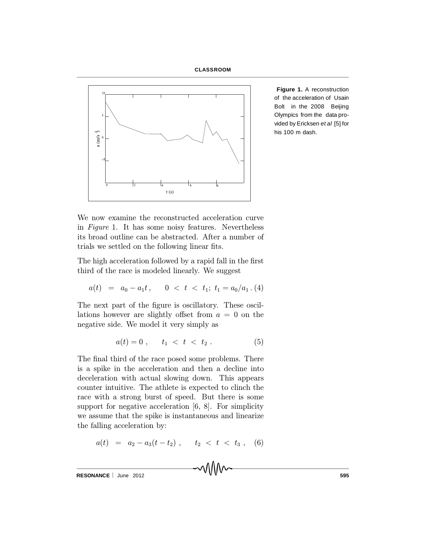



**Figure 1.** A reconstruction of the acceleration of Usain Bolt in the 2008 Beijing Olympics from the data provided by Ericksen *et al* [5] for his 100 m dash.

We now examine the reconstructed acceleration curve in Figure 1. It has some noisy features. Nevertheless its broad outline can be abstracted. After a number of trials we settled on the following linear fits.

The high acceleration followed by a rapid fall in the first third of the race is modeled linearly. We suggest

$$
a(t) = a_0 - a_1 t, \quad 0 < t < t_1; \ t_1 = a_0 / a_1 \tag{4}
$$

The next part of the figure is oscillatory. These oscillations however are slightly offset from  $a = 0$  on the negative side. We model it very simply as

$$
a(t) = 0 \; , \qquad t_1 \; < \; t \; < \; t_2 \; . \tag{5}
$$

The final third of the race posed some problems. There is a spike in the acceleration and then a decline into deceleration with actual slowing down. This appears counter intuitive. The athlete is expected to clinch the race with a strong burst of speed. But there is some support for negative acceleration [6, 8]. For simplicity we assume that the spike is instantaneous and linearize the falling acceleration by:

$$
a(t) = a_2 - a_3(t - t_2), \qquad t_2 < t < t_3 , \quad (6)
$$

**RESONANCE** | June 2012 **595**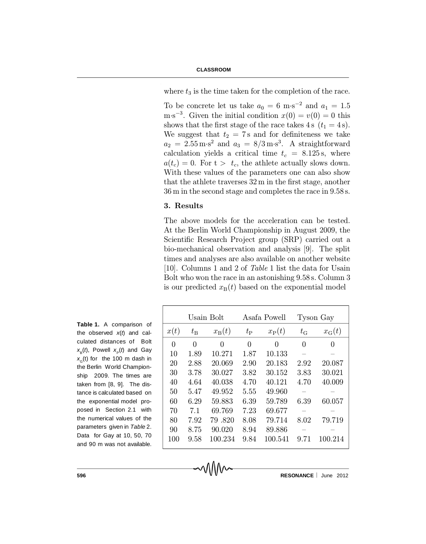where  $t_3$  is the time taken for the completion of the race.

To be concrete let us take  $a_0 = 6$  m·s<sup>-2</sup> and  $a_1 = 1.5$ m·s<sup>-3</sup>. Given the initial condition  $x(0) = v(0) = 0$  this shows that the first stage of the race takes 4 s  $(t_1 = 4 s)$ . We suggest that  $t_2 = 7$  s and for definiteness we take  $a_2 = 2.55 \,\mathrm{m} \cdot \mathrm{s}^2$  and  $a_3 = 8/3 \,\mathrm{m} \cdot \mathrm{s}^3$ . A straightforward calculation yields a critical time  $t_c = 8.125$  s, where  $a(t_c) = 0$ . For  $t > t_c$ , the athlete actually slows down. With these values of the parameters one can also show that the athlete traverses  $32 \text{ m}$  in the first stage, another 36 m in the second stage and completes the race in 9.58 s.

#### 3. Results

The above models for the acceleration can be tested. At the Berlin World Championship in August 2009, the Scientific Research Project group (SRP) carried out a bio-mechanical observation and analysis [9]. The split times and analyses are also available on another website [10]. Columns 1 and 2 of Table 1 list the data for Usain Bolt who won the race in an astonishing 9:58 s. Column 3 is our predicted  $x_{\text{B}}(t)$  based on the exponential model

| <b>Table 1.</b> A comparison of        |
|----------------------------------------|
| the observed $x(t)$ and cal-           |
| culated distances of Bolt              |
| $x_{p}(t)$ , Powell $x_{p}(t)$ and Gay |
| $x_c(t)$ for the 100 m dash in         |
| the Berlin World Champion-             |
| ship 2009. The times are               |
| taken from [8, 9]. The dis-            |
| tance is calculated based on           |
| the exponential model pro-             |
| posed in Section 2.1 with              |
| the numerical values of the            |
| parameters given in Table 2.           |
| Data for Gay at 10, 50, 70             |
| and 90 m was not available.            |

|      | Usain Bolt  |                | Asafa Powell |                | Tyson Gay   |                   |
|------|-------------|----------------|--------------|----------------|-------------|-------------------|
| x(t) | $t_{\rm B}$ | $x_{\rm B}(t)$ | $t_{\rm P}$  | $x_{\rm P}(t)$ | $t_{\rm G}$ | $x_{\text{G}}(t)$ |
| 0    | $\Omega$    | 0              | $\theta$     | 0              | 0           | 0                 |
| 10   | 1.89        | 10.271         | 1.87         | 10.133         |             |                   |
| 20   | 2.88        | 20.069         | 2.90         | 20.183         | 2.92        | 20.087            |
| 30   | 3.78        | 30.027         | 3.82         | 30.152         | 3.83        | 30.021            |
| 40   | 4.64        | 40.038         | 4.70         | 40.121         | 4.70        | 40.009            |
| 50   | 5.47        | 49.952         | 5.55         | 49.960         |             |                   |
| 60   | 6.29        | 59.883         | 6.39         | 59.789         | 6.39        | 60.057            |
| 70   | 7.1         | 69.769         | 7.23         | 69.677         |             |                   |
| 80   | 7.92        | 79.820         | 8.08         | 79.714         | 8.02        | 79.719            |
| 90   | 8.75        | 90.020         | 8.94         | 89.886         |             |                   |
| 100  | 9.58        | 100.234        | 9.84         | 100.541        | 9.71        | 100.214           |
|      |             |                |              |                |             |                   |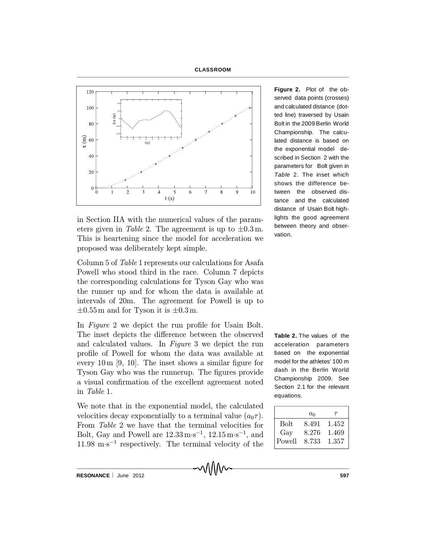



in Section IIA with the numerical values of the parameters given in Table 2. The agreement is up to  $\pm 0.3$  m. This is heartening since the model for acceleration we proposed was deliberately kept simple.

Column 5 of Table 1 represents our calculations for Asafa Powell who stood third in the race. Column 7 depicts the corresponding calculations for Tyson Gay who was the runner up and for whom the data is available at intervals of 20m. The agreement for Powell is up to  $\pm 0.55$  m and for Tyson it is  $\pm 0.3$  m.

In Figure 2 we depict the run profile for Usain Bolt. The inset depicts the difference between the observed and calculated values. In Figure 3 we depict the run profile of Powell for whom the data was available at every 10 m  $[9, 10]$ . The inset shows a similar figure for Tyson Gay who was the runnerup. The figures provide a visual confirmation of the excellent agreement noted in Table 1.

We note that in the exponential model, the calculated velocities decay exponentially to a terminal value  $(a_0\tau)$ . From Table 2 we have that the terminal velocities for Bolt, Gay and Powell are  $12.33 \,\mathrm{m \cdot s^{-1}}$ ,  $12.15 \,\mathrm{m \cdot s^{-1}}$ , and  $11.98 \text{ m}\cdot\text{s}^{-1}$  respectively. The terminal velocity of the

**Figure 2.** Plot of the observed data points (crosses) and calculated distance (dotted line) traversed by Usain Bolt in the 2009 Berlin World Championship. The calculated distance is based on the exponential model described in Section 2 with the parameters for Bolt given in *Table* 2. The inset which shows the difference between the observed distance and the calculated distance of Usain Bolt highlights the good agreement between theory and observation.

**Table 2.** The values of the acceleration parameters based on the exponential model for the athletes' 100 m dash in the Berlin World Championship 2009. See Section 2.1 for the relevant equations.

|             | $a_0$ | T     |
|-------------|-------|-------|
| <b>Bolt</b> | 8.491 | 1.452 |
| Gay         | 8.276 | 1.469 |
| Powell      | 8.733 | 1.357 |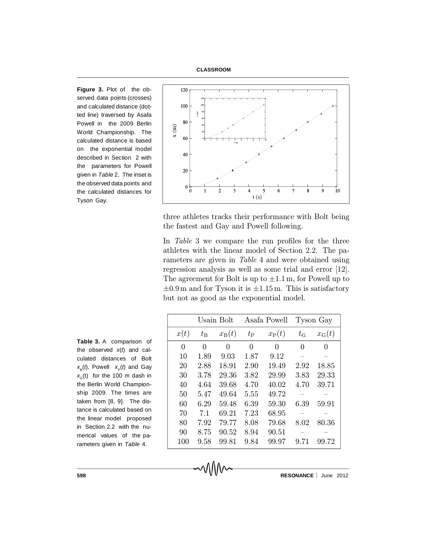**CLASSROOM**

**Figure 3.** Plot of the observed data points (crosses) and calculated distance (dotted line) traversed by Asafa Powell in the 2009 Berlin World Championship. The calculated distance is based on the exponential model described in Section 2 with the parameters for Powell given in *Table* 2. The inset is the observed data points and the calculated distances for Tyson Gay.



three athletes tracks their performance with Bolt being the fastest and Gay and Powell following.

In Table 3 we compare the run profiles for the three athletes with the linear model of Section 2.2. The parameters are given in Table 4 and were obtained using regression analysis as well as some trial and error [12]. The agreement for Bolt is up to  $\pm 1.1$  m, for Powell up to  $\pm 0.9$  m and for Tyson it is  $\pm 1.15$  m. This is satisfactory but not as good as the exponential model.

|                | Usain Bolt  |                | Asafa Powell |                | Tyson Gay   |                |
|----------------|-------------|----------------|--------------|----------------|-------------|----------------|
| x(t)           | $t_{\rm B}$ | $x_{\rm B}(t)$ | $t_{\rm P}$  | $x_{\rm P}(t)$ | $t_{\rm G}$ | $x_{\rm G}(t)$ |
| $\overline{0}$ | 0           | 0              | $\theta$     | 0              | 0           | 0              |
| 10             | 1.89        | 9.03           | 1.87         | 9.12           |             |                |
| 20             | 2.88        | 18.91          | 2.90         | 19.49          | 2.92        | 18.85          |
| 30             | 3.78        | 29.36          | 3.82         | 29.99          | 3.83        | 29.33          |
| 40             | 4.64        | 39.68          | 4.70         | 40.02          | 4.70        | 39.71          |
| 50             | 5.47        | 49.64          | 5.55         | 49.72          |             |                |
| 60             | 6.29        | 59.48          | 6.39         | 59.30          | 6.39        | 59.91          |
| 70             | 7.1         | 69.21          | 7.23         | 68.95          |             |                |
| 80             | 7.92        | 79.77          | 8.08         | 79.68          | 8.02        | 80.36          |
| 90             | 8.75        | 90.52          | 8.94         | 90.51          |             |                |
| 100            | 9.58        | 99.81          | 9.84         | 99.97          | 9.71        | 99.72          |

**Table 3.** A comparison of the observed *x*(*t*) and calculated distances of Bolt  $x_{\rm B}(t)$ , Powell  $x_{\rm P}(t)$  and Gay  $x_{\rm G}^{\rm (t)}$  for the 100 m dash in the Berlin World Championship 2009. The times are taken from [8, 9]. The distance is calculated based on the linear model proposed in Section 2.2 with the numerical values of the parameters given in *Table* 4.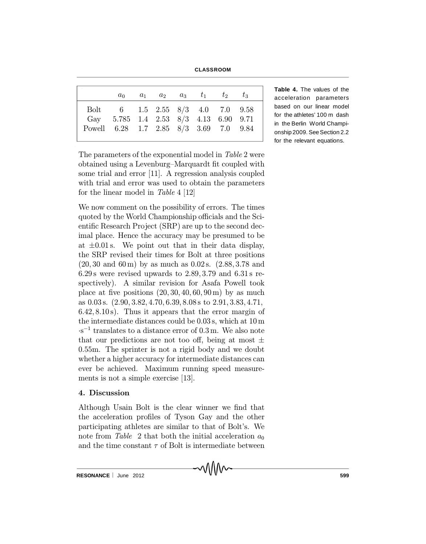**CLASSROOM**

|                                        |                                         |  | $a_0$ $a_1$ $a_2$ $a_3$ $t_1$ $t_2$ $t_3$ |  |
|----------------------------------------|-----------------------------------------|--|-------------------------------------------|--|
|                                        | Bolt 6 1.5 2.55 8/3 4.0 7.0 9.58        |  |                                           |  |
|                                        | Gay 5.785 1.4 2.53 $8/3$ 4.13 6.90 9.71 |  |                                           |  |
| Powell 6.28 1.7 2.85 8/3 3.69 7.0 9.84 |                                         |  |                                           |  |

**Table 4.** The values of the acceleration parameters based on our linear model for the athletes' 100 m dash in the Berlin World Championship 2009. See Section 2.2 for the relevant equations.

The parameters of the exponential model in Table 2 were obtained using a Levenburg-Marquardt fit coupled with some trial and error [11]. A regression analysis coupled with trial and error was used to obtain the parameters for the linear model in Table 4 [12]

We now comment on the possibility of errors. The times quoted by the World Championship officials and the Scientific Research Project  $(SRP)$  are up to the second decimal place. Hence the accuracy may be presumed to be at  $\pm 0.01$  s. We point out that in their data display, the SRP revised their times for Bolt at three positions  $(20, 30 \text{ and } 60 \text{ m})$  by as much as  $0.02 \text{ s}$ .  $(2.88, 3.78 \text{ and } 60 \text{ m})$  $6.29$  s were revised upwards to  $2.89, 3.79$  and  $6.31$  s respectively). A similar revision for Asafa Powell took place at five positions  $(20, 30, 40, 60, 90 \,\mathrm{m})$  by as much as 0:03 s. (2:90; 3:82; 4:70; 6:39; 8:08 s to 2:91; 3:83; 4:71;  $6.42, 8.10$  s). Thus it appears that the error margin of the intermediate distances could be 0:03 s, which at 10 m  $\cdot$ s<sup>-1</sup> translates to a distance error of 0.3 m. We also note that our predictions are not too off, being at most  $\pm$ 0.55m. The sprinter is not a rigid body and we doubt whether a higher accuracy for intermediate distances can ever be achieved. Maximum running speed measurements is not a simple exercise [13].

# 4. Discussion

Although Usain Bolt is the clear winner we find that the acceleration profiles of Tyson Gay and the other participating athletes are similar to that of Bolt's. We note from Table 2 that both the initial acceleration  $a_0$ and the time constant  $\tau$  of Bolt is intermediate between

**RESONANCE** | June 2012 **599**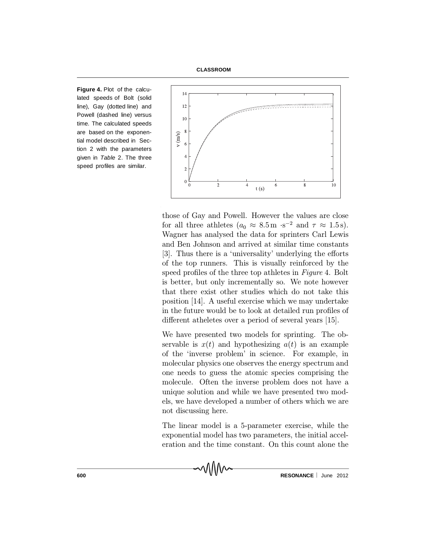**CLASSROOM**

**Figure 4.** Plot of the calculated speeds of Bolt (solid line), Gay (dotted line) and Powell (dashed line) versus time. The calculated speeds are based on the exponential model described in Section 2 with the parameters given in *Table* 2. The three speed profiles are similar.



those of Gay and Powell. However the values are close for all three athletes  $(a_0 \approx 8.5 \text{ m} \cdot \text{s}^{-2} \text{ and } \tau \approx 1.5 \text{ s}).$ Wagner has analysed the data for sprinters Carl Lewis and Ben Johnson and arrived at similar time constants [3]. Thus there is a 'universality' underlying the efforts of the top runners. This is visually reinforced by the speed profiles of the three top athletes in Figure 4. Bolt is better, but only incrementally so. We note however that there exist other studies which do not take this position [14]. A useful exercise which we may undertake in the future would be to look at detailed run profiles of different atheletes over a period of several years [15].

We have presented two models for sprinting. The observable is  $x(t)$  and hypothesizing  $a(t)$  is an example of the `inverse problem' in science. For example, in molecular physics one observes the energy spectrum and one needs to guess the atomic species comprising the molecule. Often the inverse problem does not have a unique solution and while we have presented two models, we have developed a number of others which we are not discussing here.

The linear model is a 5-parameter exercise, while the exponential model has two parameters, the initial acceleration and the time constant. On this count alone the

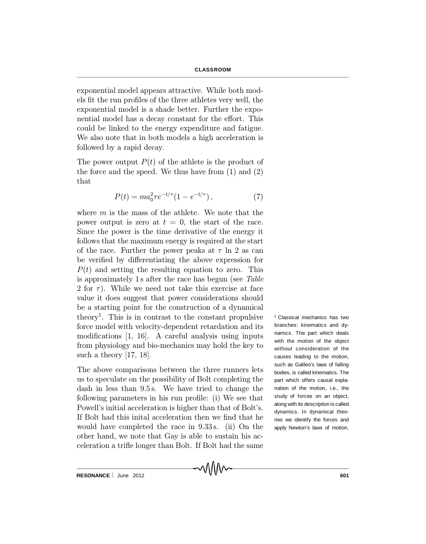exponential model appears attractive. While both models fit the run profiles of the three athletes very well, the exponential model is a shade better. Further the exponential model has a decay constant for the effort. This could be linked to the energy expenditure and fatigue. We also note that in both models a high acceleration is followed by a rapid decay.

The power output  $P(t)$  of the athlete is the product of the force and the speed. We thus have from (1) and (2) that

$$
P(t) = ma_0^2 \tau e^{-t/\tau} (1 - e^{-t/\tau}), \qquad (7)
$$

where  $m$  is the mass of the athlete. We note that the power output is zero at  $t = 0$ , the start of the race. Since the power is the time derivative of the energy it follows that the maximum energy is required at the start of the race. Further the power peaks at  $\tau$  ln 2 as can be verified by differentiating the above expression for  $P(t)$  and setting the resulting equation to zero. This is approximately 1 s after the race has begun (see Table 2 for  $\tau$ ). While we need not take this exercise at face value it does suggest that power considerations should be a starting point for the construction of a dynamical theory 1 . This is in contrast to the constant propulsive force model with velocity-dependent retardation and its modifications  $[1, 16]$ . A careful analysis using inputs from physiology and bio-mechanics may hold the key to such a theory [17, 18].

The above comparisons between the three runners lets us to speculate on the possibility of Bolt completing the dash in less than 9.5 s. We have tried to change the following parameters in his run profile: (i) We see that Powell's initial acceleration is higher than that of Bolt's. If Bolt had this inital acceleration then we find that he would have completed the race in 9.33s. (ii) On the other hand, we note that Gay is able to sustain his acceleration a trifle longer than Bolt. If Bolt had the same <sup>1</sup> Classical mechanics has two branches: kinematics and dynamics. The part which deals with the motion of the object without consideration of the causes leading to the motion, such as Galileo's laws of falling bodies, is called kinematics. The part which offers causal explanation of the motion, i.e., the study of forces on an object, along with its description is called dynamics. In dynamical theories we identify the forces and apply Newton's laws of motion.

**RESONANCE** | June 2012 **601**<br>RESONANCE | June 2012 **601**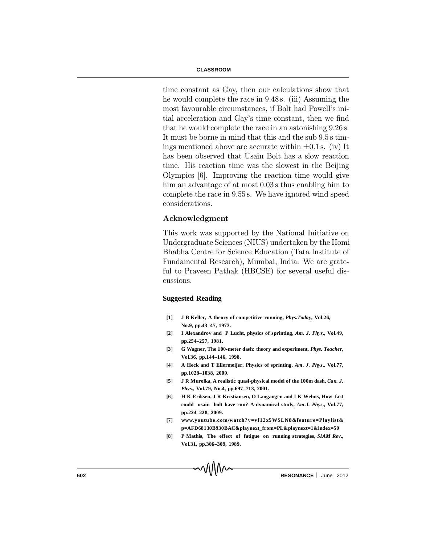time constant as Gay, then our calculations show that he would complete the race in 9:48 s. (iii) Assuming the most favourable circumstances, if Bolt had Powell's initial acceleration and Gay's time constant, then we find that he would complete the race in an astonishing 9:26 s. It must be borne in mind that this and the sub 9:5 s timings mentioned above are accurate within  $\pm 0.1$  s. (iv) It has been observed that Usain Bolt has a slow reaction time. His reaction time was the slowest in the Beijing Olympics [6]. Improving the reaction time would give him an advantage of at most  $0.03$  s thus enabling him to complete the race in 9:55 s. We have ignored wind speed considerations.

#### Acknowledgment

This work was supported by the National Initiative on Undergraduate Sciences (NIUS) undertaken by the Homi Bhabha Centre for Science Education (Tata Institute of Fundamental Research), Mumbai, India. We are grateful to Praveen Pathak (HBCSE) for several useful discussions.

#### **Suggested Reading**

- **[1] J B Keller, A theory of competitive running,** *Phys.Today***, Vol.26, No.9, pp.43–47, 1973.**
- **[2] I Alexandrov and P Lucht, physics of sprinting,** *Am. J. Phys***., Vol.49, pp.254–257, 1981.**
- **[3] G Wagner, The 100-meter dash: theory and experiment,** *Phys. Teacher***, Vol.36, pp.144–146, 1998.**
- **[4] A Heck and T Ellermeijer, Physics of sprinting,** *Am. J. Phys***., Vol.77, pp.1028–1038, 2009.**
- **[5] J R Mureika, A realistic quasi-physical model of the 100m dash,** *Can. J. Phys***., Vol.79, No.4, pp.697–713, 2001.**
- **[6] H K Eriksen, J R Kristiansen, O Langangen and I K Wehus, How fast could usain bolt have run? A dynamical study,** *Am.J. Phys***., Vol.77, pp.224–228, 2009.**
- **[7] www.youtube.com/watch?v=vf12x5WSLN8&feature=Playlist& p=AFD68130B930BAC&playnext\_from=PL&playnext=1&index=50**
- **[8] P Mathis, The effect of fatigue on running strategies,** *SIAM Rev***., Vol.31, pp.306–309, 1989.**